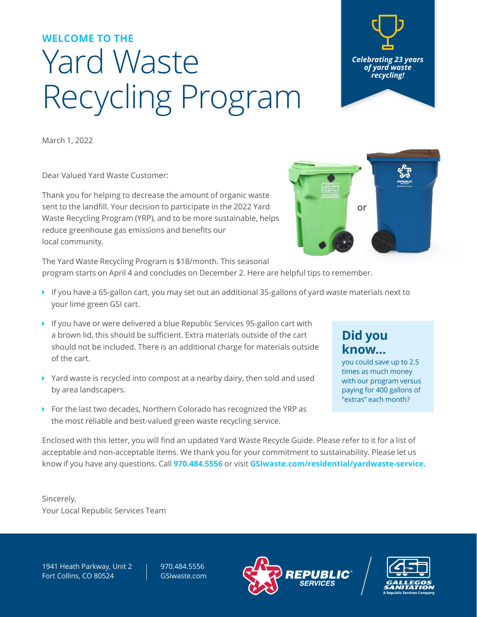## Yard Waste Recycling Program **WELCOME TO THE**

March 1, 2022

Dear Valued Yard Waste Customer:

Thank you for helping to decrease the amount of organic waste sent to the landfill. Your decision to participate in the 2022 Yard Waste Recycling Program (YRP), and to be more sustainable, helps reduce greenhouse gas emissions and benefits our local community.

The Yard Waste Recycling Program is \$18/month. This seasonal program starts on April 4 and concludes on December 2. Here are helpful tips to remember.

- $\blacktriangleright$  If you have a 65-gallon cart, you may set out an additional 35-gallons of yard waste materials next to your lime green GSI cart.
- ▶ If you have or were delivered a blue Republic Services 95-gallon cart with a brown lid, this should be sufficient. Extra materials outside of the cart should not be included. There is an additional charge for materials outside of the cart.
- $\blacktriangleright$  Yard waste is recycled into compost at a nearby dairy, then sold and used by area landscapers.
- $\triangleright$  For the last two decades, Northern Colorado has recognized the YRP as the most reliable and best-valued green waste recycling service.

Enclosed with this letter, you will find an updated Yard Waste Recycle Guide. Please refer to it for a list of acceptable and non-acceptable items. We thank you for your commitment to sustainability. Please let us know if you have any questions. Call **970.484.5556** or visit **[GSIwaste.com/residential/yardwaste-service](https://gsiwaste.com/residential/yardwaste-service/).**

Sincerely, Your Local Republic Services Team

1941 Heath Parkway, Unit 2 Fort Collins, CO 80524

970.484.5556 [GSIwaste.com](https://gsiwaste.com/)







**or**



you could save up to 2.5 times as much money with our program versus paying for 400 gallons of "extras" each month?